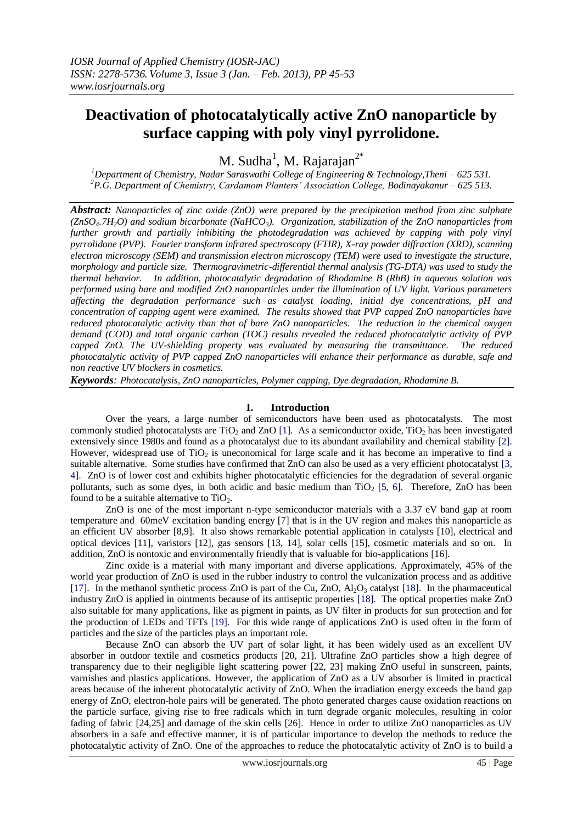# **Deactivation of photocatalytically active ZnO nanoparticle by surface capping with poly vinyl pyrrolidone.**

M. Sudha<sup>1</sup>, M. Rajarajan<sup>2\*</sup>

*<sup>1</sup>Department of Chemistry, Nadar Saraswathi College of Engineering & Technology,Theni – 625 531. <sup>2</sup>P.G. Department of Chemistry, Cardamom Planters' Association College, Bodinayakanur – 625 513.*

*Abstract: Nanoparticles of zinc oxide (ZnO) were prepared by the precipitation method from zinc sulphate (ZnSO4.7H2O) and sodium bicarbonate (NaHCO3). Organization, stabilization of the ZnO nanoparticles from further growth and partially inhibiting the photodegradation was achieved by capping with poly vinyl pyrrolidone (PVP). Fourier transform infrared spectroscopy (FTIR), X-ray powder diffraction (XRD), scanning electron microscopy (SEM) and transmission electron microscopy (TEM) were used to investigate the structure, morphology and particle size. Thermogravimetric-differential thermal analysis (TG-DTA) was used to study the thermal behavior. In addition, photocatalytic degradation of Rhodamine B (RhB) in aqueous solution was performed using bare and modified ZnO nanoparticles under the illumination of UV light. Various parameters affecting the degradation performance such as catalyst loading, initial dye concentrations, pH and concentration of capping agent were examined. The results showed that PVP capped ZnO nanoparticles have reduced photocatalytic activity than that of bare ZnO nanoparticles. The reduction in the chemical oxygen demand (COD) and total organic carbon (TOC) results revealed the reduced photocatalytic activity of PVP capped ZnO. The UV-shielding property was evaluated by measuring the transmittance. The reduced photocatalytic activity of PVP capped ZnO nanoparticles will enhance their performance as durable, safe and non reactive UV blockers in cosmetics.*

*Keywords: Photocatalysis, ZnO nanoparticles, Polymer capping, Dye degradation, Rhodamine B.*

#### **I. Introduction**

Over the years, a large number of semiconductors have been used as photocatalysts. The most commonly studied photocatalysts are TiO<sub>2</sub> and ZnO [1]. As a semiconductor oxide, TiO<sub>2</sub> has been investigated extensively since 1980s and found as a photocatalyst due to its abundant availability and chemical stability [2]. However, widespread use of  $TiO<sub>2</sub>$  is uneconomical for large scale and it has become an imperative to find a suitable alternative. Some studies have confirmed that ZnO can also be used as a very efficient photocatalyst [3, 4]. ZnO is of lower cost and exhibits higher photocatalytic efficiencies for the degradation of several organic pollutants, such as some dyes, in both acidic and basic medium than  $TiO<sub>2</sub>$  [5, 6]. Therefore, ZnO has been found to be a suitable alternative to  $TiO<sub>2</sub>$ .

ZnO is one of the most important n-type semiconductor materials with a 3.37 eV band gap at room temperature and 60meV excitation banding energy [7] that is in the UV region and makes this nanoparticle as an efficient UV absorber [8,9]. It also shows remarkable potential application in catalysts [10], electrical and optical devices [11], varistors [12], gas sensors [13, 14], solar cells [15], cosmetic materials and so on. In addition, ZnO is nontoxic and environmentally friendly that is valuable for bio-applications [16].

Zinc oxide is a material with many important and diverse applications. Approximately, 45% of the world year production of ZnO is used in the rubber industry to control the vulcanization process and as additive [17]. In the methanol synthetic process ZnO is part of the Cu, ZnO, Al<sub>2</sub>O<sub>3</sub> catalyst [18]. In the pharmaceutical industry ZnO is applied in ointments because of its antiseptic properties [18]. The optical properties make ZnO also suitable for many applications, like as pigment in paints, as UV filter in products for sun protection and for the production of LEDs and TFTs [19]. For this wide range of applications ZnO is used often in the form of particles and the size of the particles plays an important role.

Because ZnO can absorb the UV part of solar light, it has been widely used as an excellent UV absorber in outdoor textile and cosmetics products [20, 21]. Ultrafine ZnO particles show a high degree of transparency due to their negligible light scattering power [22, 23] making ZnO useful in sunscreen, paints, varnishes and plastics applications. However, the application of ZnO as a UV absorber is limited in practical areas because of the inherent photocatalytic activity of ZnO. When the irradiation energy exceeds the band gap energy of ZnO, electron-hole pairs will be generated. The photo generated charges cause oxidation reactions on the particle surface, giving rise to free radicals which in turn degrade organic molecules, resulting in color fading of fabric [24,25] and damage of the skin cells [26]. Hence in order to utilize ZnO nanoparticles as UV absorbers in a safe and effective manner, it is of particular importance to develop the methods to reduce the photocatalytic activity of ZnO. One of the approaches to reduce the photocatalytic activity of ZnO is to build a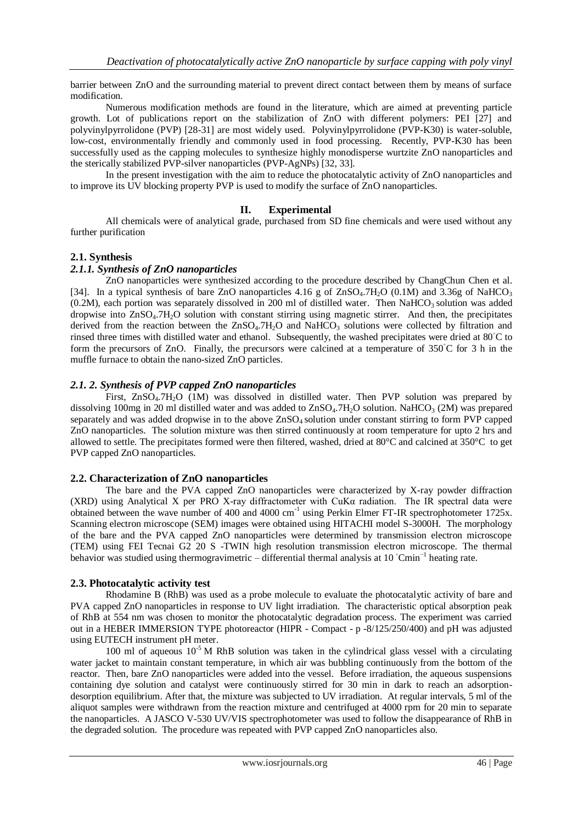barrier between ZnO and the surrounding material to prevent direct contact between them by means of surface modification.

Numerous modification methods are found in the literature, which are aimed at preventing particle growth. Lot of publications report on the stabilization of ZnO with different polymers: PEI [27] and polyvinylpyrrolidone (PVP) [28-31] are most widely used. Polyvinylpyrrolidone (PVP-K30) is water-soluble, low-cost, environmentally friendly and commonly used in food processing. Recently, PVP-K30 has been successfully used as the capping molecules to synthesize highly monodisperse wurtzite ZnO nanoparticles and the sterically stabilized PVP-silver nanoparticles (PVP-AgNPs) [32, 33].

In the present investigation with the aim to reduce the photocatalytic activity of ZnO nanoparticles and to improve its UV blocking property PVP is used to modify the surface of ZnO nanoparticles.

#### **II. Experimental**

All chemicals were of analytical grade, purchased from SD fine chemicals and were used without any further purification

#### **2.1. Synthesis**

#### *2.1.1. Synthesis of ZnO nanoparticles*

ZnO nanoparticles were synthesized according to the procedure described by ChangChun Chen et al. [34]. In a typical synthesis of bare ZnO nanoparticles  $4.16 \text{ g}$  of ZnSO<sub>4</sub>.7H<sub>2</sub>O (0.1M) and 3.36g of NaHCO<sub>3</sub>  $(0.2M)$ , each portion was separately dissolved in 200 ml of distilled water. Then NaHCO<sub>3</sub> solution was added dropwise into ZnSO<sub>4</sub>.7H<sub>2</sub>O solution with constant stirring using magnetic stirrer. And then, the precipitates derived from the reaction between the  $ZnSO_4.7H_2O$  and NaHCO<sub>3</sub> solutions were collected by filtration and rinsed three times with distilled water and ethanol. Subsequently, the washed precipitates were dried at 80◦C to form the precursors of ZnO. Finally, the precursors were calcined at a temperature of 350°C for 3 h in the muffle furnace to obtain the nano-sized ZnO particles.

#### *2.1. 2. Synthesis of PVP capped ZnO nanoparticles*

First, ZnSO<sub>4</sub>.7H<sub>2</sub>O (1M) was dissolved in distilled water. Then PVP solution was prepared by dissolving 100mg in 20 ml distilled water and was added to ZnSO<sub>4</sub>.7H<sub>2</sub>O solution. NaHCO<sub>3</sub> (2M) was prepared separately and was added dropwise in to the above  $ZnSO_4$  solution under constant stirring to form PVP capped ZnO nanoparticles. The solution mixture was then stirred continuously at room temperature for upto 2 hrs and allowed to settle. The precipitates formed were then filtered, washed, dried at 80°C and calcined at 350°C to get PVP capped ZnO nanoparticles.

#### **2.2. Characterization of ZnO nanoparticles**

The bare and the PVA capped ZnO nanoparticles were characterized by X-ray powder diffraction (XRD) using Analytical X per PRO X-ray diffractometer with CuKα radiation. The IR spectral data were obtained between the wave number of 400 and 4000 cm<sup>-1</sup> using Perkin Elmer FT-IR spectrophotometer 1725x. Scanning electron microscope (SEM) images were obtained using HITACHI model S-3000H. The morphology of the bare and the PVA capped ZnO nanoparticles were determined by transmission electron microscope (TEM) using FEI Tecnai G2 20 S -TWIN high resolution transmission electron microscope. The thermal behavior was studied using thermogravimetric – differential thermal analysis at 10 ◦Cmin−1 heating rate.

## **2.3. Photocatalytic activity test**

Rhodamine B (RhB) was used as a probe molecule to evaluate the photocatalytic activity of bare and PVA capped ZnO nanoparticles in response to UV light irradiation. The characteristic optical absorption peak of RhB at 554 nm was chosen to monitor the photocatalytic degradation process. The experiment was carried out in a HEBER IMMERSION TYPE photoreactor (HIPR - Compact - p -8/125/250/400) and pH was adjusted using EUTECH instrument pH meter.

100 ml of aqueous  $10^{-5}$  M RhB solution was taken in the cylindrical glass vessel with a circulating water jacket to maintain constant temperature, in which air was bubbling continuously from the bottom of the reactor. Then, bare ZnO nanoparticles were added into the vessel. Before irradiation, the aqueous suspensions containing dye solution and catalyst were continuously stirred for 30 min in dark to reach an adsorptiondesorption equilibrium. After that, the mixture was subjected to UV irradiation. At regular intervals, 5 ml of the aliquot samples were withdrawn from the reaction mixture and centrifuged at 4000 rpm for 20 min to separate the nanoparticles. A JASCO V-530 UV/VIS spectrophotometer was used to follow the disappearance of RhB in the degraded solution. The procedure was repeated with PVP capped ZnO nanoparticles also.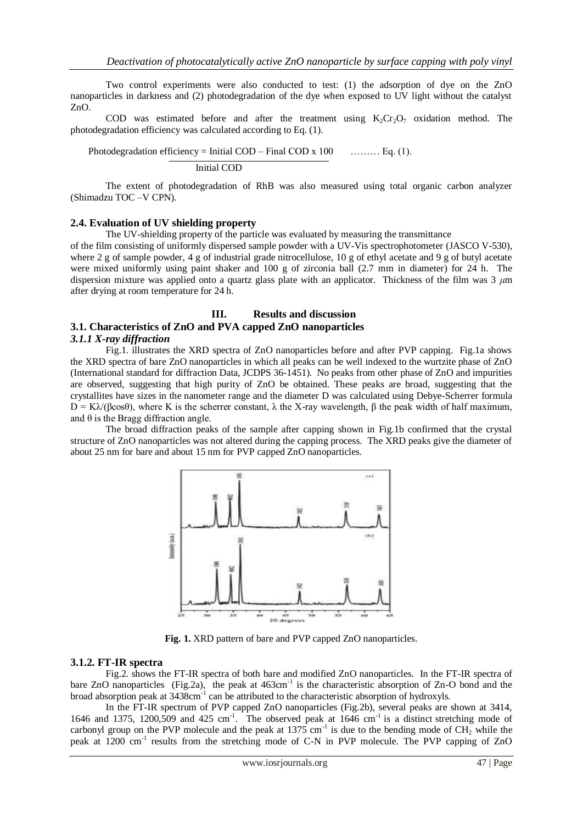Two control experiments were also conducted to test: (1) the adsorption of dye on the ZnO nanoparticles in darkness and (2) photodegradation of the dye when exposed to UV light without the catalyst ZnO.

COD was estimated before and after the treatment using  $K_2Cr_2O_7$  oxidation method. The photodegradation efficiency was calculated according to Eq. (1).

Photodegradation efficiency = Initial COD – Final COD x 100  $\ldots$  ... Eq. (1).

Initial COD

 The extent of photodegradation of RhB was also measured using total organic carbon analyzer (Shimadzu TOC –V CPN).

#### **2.4. Evaluation of UV shielding property**

The UV-shielding property of the particle was evaluated by measuring the transmittance

of the film consisting of uniformly dispersed sample powder with a UV-Vis spectrophotometer (JASCO V-530), where 2 g of sample powder, 4 g of industrial grade nitrocellulose, 10 g of ethyl acetate and 9 g of butyl acetate were mixed uniformly using paint shaker and 100 g of zirconia ball (2.7 mm in diameter) for 24 h. The dispersion mixture was applied onto a quartz glass plate with an applicator. Thickness of the film was 3 *μ*m after drying at room temperature for 24 h.

#### **III. Results and discussion**

#### **3.1. Characteristics of ZnO and PVA capped ZnO nanoparticles**

#### *3.1.1 X-ray diffraction*

Fig.1. illustrates the XRD spectra of ZnO nanoparticles before and after PVP capping. Fig.1a shows the XRD spectra of bare ZnO nanoparticles in which all peaks can be well indexed to the wurtzite phase of ZnO (International standard for diffraction Data, JCDPS 36-1451). No peaks from other phase of ZnO and impurities are observed, suggesting that high purity of ZnO be obtained. These peaks are broad, suggesting that the crystallites have sizes in the nanometer range and the diameter D was calculated using Debye-Scherrer formula  $D = Kλ/(β cos θ)$ , where K is the scherrer constant,  $λ$  the X-ray wavelength,  $β$  the peak width of half maximum, and  $\theta$  is the Bragg diffraction angle.

The broad diffraction peaks of the sample after capping shown in Fig.1b confirmed that the crystal structure of ZnO nanoparticles was not altered during the capping process. The XRD peaks give the diameter of about 25 nm for bare and about 15 nm for PVP capped ZnO nanoparticles.



**Fig. 1.** XRD pattern of bare and PVP capped ZnO nanoparticles.

#### **3.1.2. FT-IR spectra**

Fig.2. shows the FT-IR spectra of both bare and modified ZnO nanoparticles. In the FT-IR spectra of bare ZnO nanoparticles (Fig.2a), the peak at 463cm<sup>-1</sup> is the characteristic absorption of Zn-O bond and the broad absorption peak at 3438cm<sup>-1</sup> can be attributed to the characteristic absorption of hydroxyls.

In the FT-IR spectrum of PVP capped ZnO nanoparticles (Fig.2b), several peaks are shown at 3414, 1646 and 1375, 1200,509 and 425 cm<sup>-1</sup>. The observed peak at 1646 cm<sup>-1</sup> is a distinct stretching mode of carbonyl group on the PVP molecule and the peak at  $1375 \text{ cm}^{-1}$  is due to the bending mode of CH<sub>2</sub> while the peak at 1200 cm<sup>-1</sup> results from the stretching mode of C-N in PVP molecule. The PVP capping of ZnO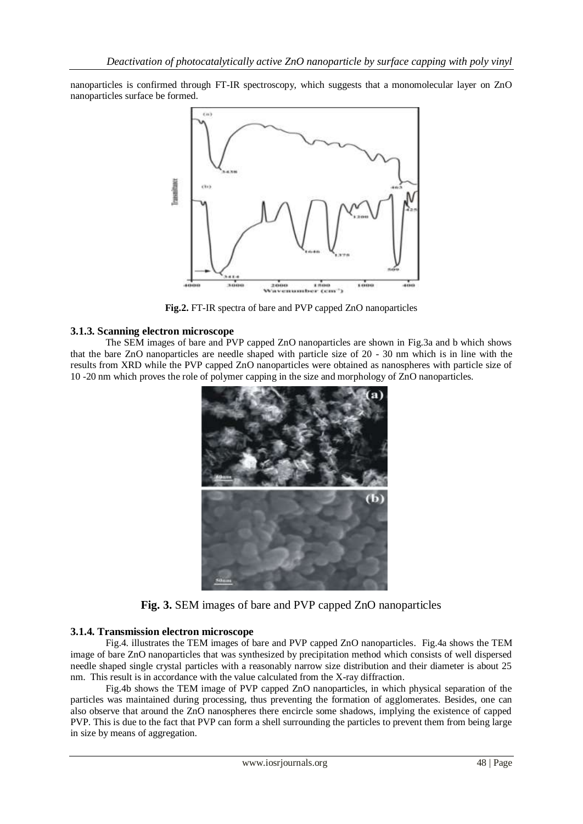nanoparticles is confirmed through FT-IR spectroscopy, which suggests that a monomolecular layer on ZnO nanoparticles surface be formed.



**Fig.2.** FT-IR spectra of bare and PVP capped ZnO nanoparticles

# **3.1.3. Scanning electron microscope**

The SEM images of bare and PVP capped ZnO nanoparticles are shown in Fig.3a and b which shows that the bare ZnO nanoparticles are needle shaped with particle size of 20 - 30 nm which is in line with the results from XRD while the PVP capped ZnO nanoparticles were obtained as nanospheres with particle size of 10 -20 nm which proves the role of polymer capping in the size and morphology of ZnO nanoparticles.



**Fig. 3.** SEM images of bare and PVP capped ZnO nanoparticles

# **3.1.4. Transmission electron microscope**

Fig.4. illustrates the TEM images of bare and PVP capped ZnO nanoparticles. Fig.4a shows the TEM image of bare ZnO nanoparticles that was synthesized by precipitation method which consists of well dispersed needle shaped single crystal particles with a reasonably narrow size distribution and their diameter is about 25 nm. This result is in accordance with the value calculated from the X-ray diffraction.

Fig.4b shows the TEM image of PVP capped ZnO nanoparticles, in which physical separation of the particles was maintained during processing, thus preventing the formation of agglomerates. Besides, one can also observe that around the ZnO nanospheres there encircle some shadows, implying the existence of capped PVP. This is due to the fact that PVP can form a shell surrounding the particles to prevent them from being large in size by means of aggregation.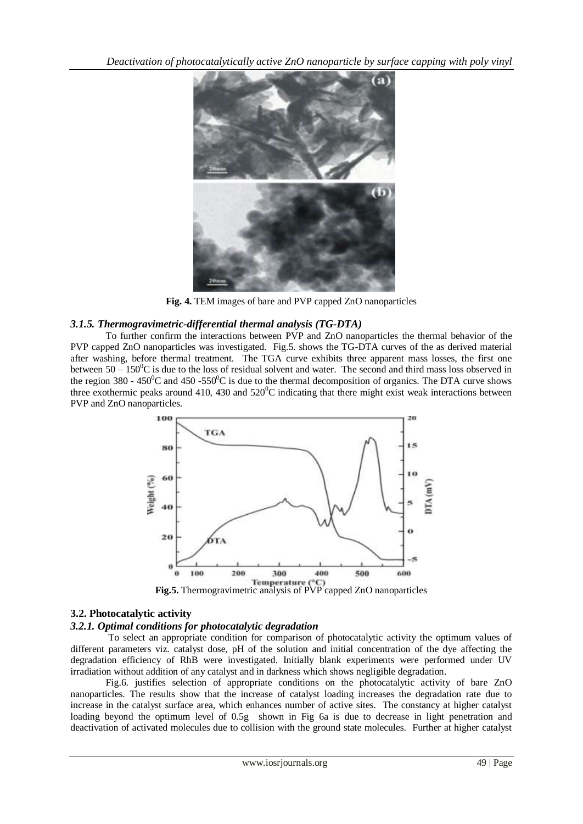

**Fig. 4.** TEM images of bare and PVP capped ZnO nanoparticles

# *3.1.5. Thermogravimetric-differential thermal analysis (TG-DTA)*

To further confirm the interactions between PVP and ZnO nanoparticles the thermal behavior of the PVP capped ZnO nanoparticles was investigated. Fig.5. shows the TG-DTA curves of the as derived material after washing, before thermal treatment. The TGA curve exhibits three apparent mass losses, the first one between  $50 - 150^{\circ}$ C is due to the loss of residual solvent and water. The second and third mass loss observed in the region 380 - 450<sup>o</sup>C and 450 -550<sup>o</sup>C is due to the thermal decomposition of organics. The DTA curve shows three exothermic peaks around 410, 430 and  $520^{\circ}$ C indicating that there might exist weak interactions between PVP and ZnO nanoparticles.



# **3.2. Photocatalytic activity**

# *3.2.1. Optimal conditions for photocatalytic degradation*

To select an appropriate condition for comparison of photocatalytic activity the optimum values of different parameters viz. catalyst dose, pH of the solution and initial concentration of the dye affecting the degradation efficiency of RhB were investigated. Initially blank experiments were performed under UV irradiation without addition of any catalyst and in darkness which shows negligible degradation.

Fig.6. justifies selection of appropriate conditions on the photocatalytic activity of bare ZnO nanoparticles. The results show that the increase of catalyst loading increases the degradation rate due to increase in the catalyst surface area, which enhances number of active sites. The constancy at higher catalyst loading beyond the optimum level of 0.5g shown in Fig 6a is due to decrease in light penetration and deactivation of activated molecules due to collision with the ground state molecules. Further at higher catalyst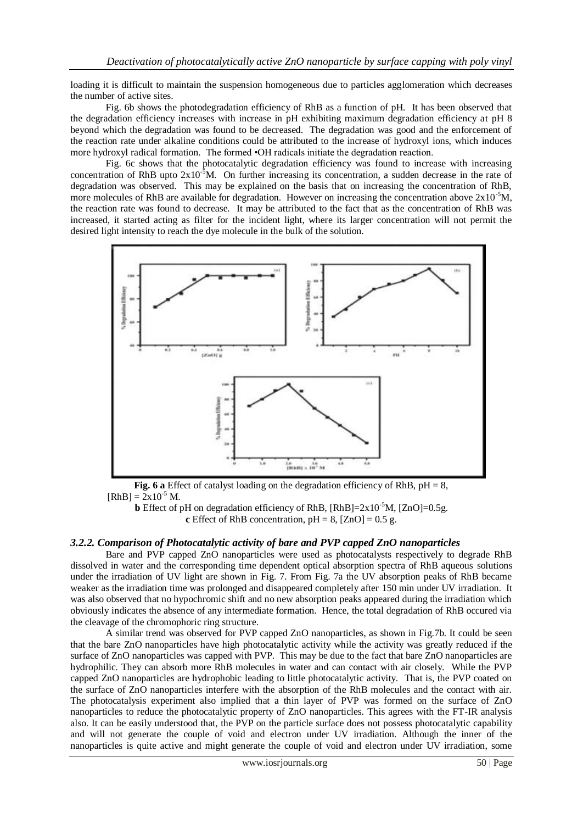loading it is difficult to maintain the suspension homogeneous due to particles agglomeration which decreases the number of active sites.

Fig. 6b shows the photodegradation efficiency of RhB as a function of pH. It has been observed that the degradation efficiency increases with increase in pH exhibiting maximum degradation efficiency at pH 8 beyond which the degradation was found to be decreased. The degradation was good and the enforcement of the reaction rate under alkaline conditions could be attributed to the increase of hydroxyl ions, which induces more hydroxyl radical formation. The formed •OH radicals initiate the degradation reaction.

Fig. 6c shows that the photocatalytic degradation efficiency was found to increase with increasing concentration of RhB upto  $2x10^{-5}$ M. On further increasing its concentration, a sudden decrease in the rate of degradation was observed. This may be explained on the basis that on increasing the concentration of RhB, more molecules of RhB are available for degradation. However on increasing the concentration above  $2x10^{-5}$ M, the reaction rate was found to decrease. It may be attributed to the fact that as the concentration of RhB was increased, it started acting as filter for the incident light, where its larger concentration will not permit the desired light intensity to reach the dye molecule in the bulk of the solution.



**Fig. 6 a** Effect of catalyst loading on the degradation efficiency of RhB,  $pH = 8$ ,  $[RhB] = 2x10^{-5} M.$ 

**b** Effect of pH on degradation efficiency of RhB,  $[RhB]=2x10^{-5}M$ ,  $[ZnO]=0.5g$ . **c** Effect of RhB concentration,  $pH = 8$ ,  $[ZnO] = 0.5$  g.

# *3.2.2. Comparison of Photocatalytic activity of bare and PVP capped ZnO nanoparticles*

Bare and PVP capped ZnO nanoparticles were used as photocatalysts respectively to degrade RhB dissolved in water and the corresponding time dependent optical absorption spectra of RhB aqueous solutions under the irradiation of UV light are shown in Fig. 7. From Fig. 7a the UV absorption peaks of RhB became weaker as the irradiation time was prolonged and disappeared completely after 150 min under UV irradiation. It was also observed that no hypochromic shift and no new absorption peaks appeared during the irradiation which obviously indicates the absence of any intermediate formation. Hence, the total degradation of RhB occured via the cleavage of the chromophoric ring structure.

A similar trend was observed for PVP capped ZnO nanoparticles, as shown in Fig.7b. It could be seen that the bare ZnO nanoparticles have high photocatalytic activity while the activity was greatly reduced if the surface of ZnO nanoparticles was capped with PVP. This may be due to the fact that bare ZnO nanoparticles are hydrophilic. They can absorb more RhB molecules in water and can contact with air closely. While the PVP capped ZnO nanoparticles are hydrophobic leading to little photocatalytic activity. That is, the PVP coated on the surface of ZnO nanoparticles interfere with the absorption of the RhB molecules and the contact with air. The photocatalysis experiment also implied that a thin layer of PVP was formed on the surface of ZnO nanoparticles to reduce the photocatalytic property of ZnO nanoparticles. This agrees with the FT-IR analysis also. It can be easily understood that, the PVP on the particle surface does not possess photocatalytic capability and will not generate the couple of void and electron under UV irradiation. Although the inner of the nanoparticles is quite active and might generate the couple of void and electron under UV irradiation, some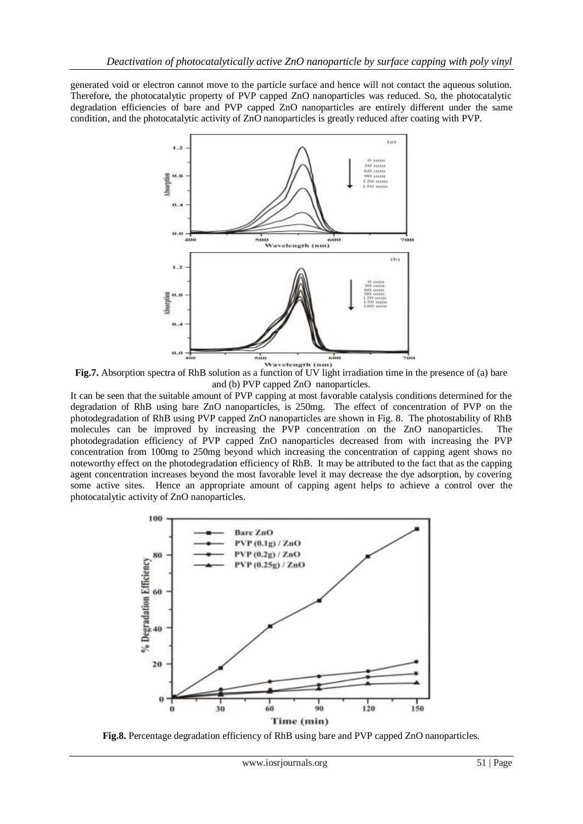generated void or electron cannot move to the particle surface and hence will not contact the aqueous solution. Therefore, the photocatalytic property of PVP capped ZnO nanoparticles was reduced. So, the photocatalytic degradation efficiencies of bare and PVP capped ZnO nanoparticles are entirely different under the same condition, and the photocatalytic activity of ZnO nanoparticles is greatly reduced after coating with PVP.



**Fig.7.** Absorption spectra of RhB solution as a function of UV light irradiation time in the presence of (a) bare and (b) PVP capped ZnO nanoparticles.

It can be seen that the suitable amount of PVP capping at most favorable catalysis conditions determined for the degradation of RhB using bare ZnO nanoparticles, is 250mg. The effect of concentration of PVP on the photodegradation of RhB using PVP capped ZnO nanoparticles are shown in Fig. 8. The photostability of RhB molecules can be improved by increasing the PVP concentration on the ZnO nanoparticles. The photodegradation efficiency of PVP capped ZnO nanoparticles decreased from with increasing the PVP concentration from 100mg to 250mg beyond which increasing the concentration of capping agent shows no noteworthy effect on the photodegradation efficiency of RhB. It may be attributed to the fact that as the capping agent concentration increases beyond the most favorable level it may decrease the dye adsorption, by covering some active sites. Hence an appropriate amount of capping agent helps to achieve a control over the photocatalytic activity of ZnO nanoparticles.



**Fig.8.** Percentage degradation efficiency of RhB using bare and PVP capped ZnO nanoparticles.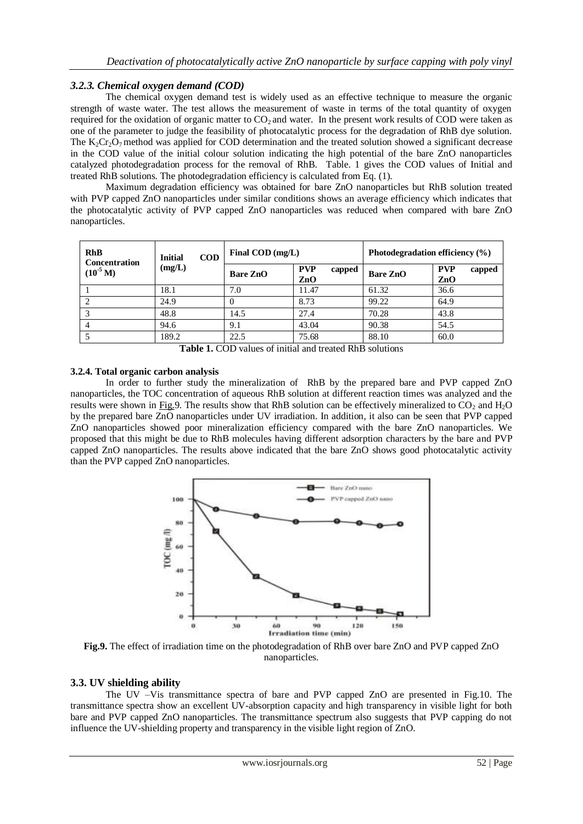# *3.2.3. Chemical oxygen demand (COD)*

The chemical oxygen demand test is widely used as an effective technique to measure the organic strength of waste water. The test allows the measurement of waste in terms of the total quantity of oxygen required for the oxidation of organic matter to  $CO<sub>2</sub>$  and water. In the present work results of COD were taken as one of the parameter to judge the feasibility of photocatalytic process for the degradation of RhB dye solution. The  $K_2Cr_2O_7$  method was applied for COD determination and the treated solution showed a significant decrease in the COD value of the initial colour solution indicating the high potential of the bare ZnO nanoparticles catalyzed photodegradation process for the removal of RhB. Table. 1 gives the COD values of Initial and treated RhB solutions. The photodegradation efficiency is calculated from Eq. (1).

Maximum degradation efficiency was obtained for bare ZnO nanoparticles but RhB solution treated with PVP capped ZnO nanoparticles under similar conditions shows an average efficiency which indicates that the photocatalytic activity of PVP capped ZnO nanoparticles was reduced when compared with bare ZnO nanoparticles.

| <b>RhB</b><br><b>Concentration</b><br>$(10^{5}$ M) | <b>COD</b><br><b>Initial</b><br>(mg/L) | Final $\text{COD}$ (mg/L) |                             | Photodegradation efficiency (%) |                             |
|----------------------------------------------------|----------------------------------------|---------------------------|-----------------------------|---------------------------------|-----------------------------|
|                                                    |                                        | Bare ZnO                  | <b>PVP</b><br>capped<br>ZnO | <b>Bare ZnO</b>                 | <b>PVP</b><br>capped<br>ZnO |
|                                                    | 18.1                                   | 7.0                       | 11.47                       | 61.32                           | 36.6                        |
|                                                    | 24.9                                   |                           | 8.73                        | 99.22                           | 64.9                        |
|                                                    | 48.8                                   | 14.5                      | 27.4                        | 70.28                           | 43.8                        |
|                                                    | 94.6                                   | 9.1                       | 43.04                       | 90.38                           | 54.5                        |
|                                                    | 189.2                                  | 22.5                      | 75.68                       | 88.10                           | 60.0                        |

**Table 1.** COD values of initial and treated RhB solutions

# **3.2.4. Total organic carbon analysis**

In order to further study the mineralization of RhB by the prepared bare and PVP capped ZnO nanoparticles, the TOC concentration of aqueous RhB solution at different reaction times was analyzed and the results were shown in [Fig.9](http://www.sciencedirect.com/science?_ob=ArticleURL&_udi=B6TGF-4X087M4-5&_user=981705&_coverDate=12%2F30%2F2009&_rdoc=1&_fmt=high&_orig=gateway&_origin=gateway&_sort=d&_docanchor=&view=c&_searchStrId=1731124146&_rerunOrigin=scholar.google&_acct=C000025258&_version=1&_urlVersion=0&_userid=981705&md5=30219d2da5c51a8c6756021af1dabdcb&searchtype=a#fig7). The results show that RhB solution can be effectively mineralized to  $CO<sub>2</sub>$  and  $H<sub>2</sub>O$ by the prepared bare ZnO nanoparticles under UV irradiation. In addition, it also can be seen that PVP capped ZnO nanoparticles showed poor mineralization efficiency compared with the bare ZnO nanoparticles. We proposed that this might be due to RhB molecules having different adsorption characters by the bare and PVP capped ZnO nanoparticles. The results above indicated that the bare ZnO shows good photocatalytic activity than the PVP capped ZnO nanoparticles.



**Fig.9.** The effect of irradiation time on the photodegradation of RhB over bare ZnO and PVP capped ZnO nanoparticles.

# **3.3. UV shielding ability**

The UV –Vis transmittance spectra of bare and PVP capped ZnO are presented in Fig.10. The transmittance spectra show an excellent UV-absorption capacity and high transparency in visible light for both bare and PVP capped ZnO nanoparticles. The transmittance spectrum also suggests that PVP capping do not influence the UV-shielding property and transparency in the visible light region of ZnO.